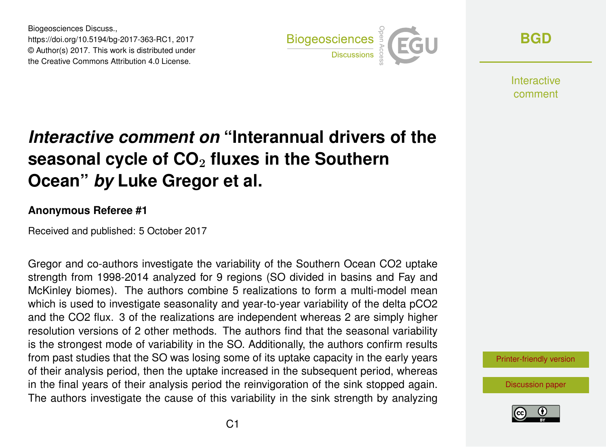Biogeosciences Discuss., https://doi.org/10.5194/bg-2017-363-RC1, 2017 © Author(s) 2017. This work is distributed under the Creative Commons Attribution 4.0 License.



**[BGD](https://www.biogeosciences-discuss.net/)**

**Interactive** comment

## *Interactive comment on* **"Interannual drivers of the seasonal cycle of CO**<sup>2</sup> **fluxes in the Southern Ocean"** *by* **Luke Gregor et al.**

## **Anonymous Referee #1**

Received and published: 5 October 2017

Gregor and co-authors investigate the variability of the Southern Ocean CO2 uptake strength from 1998-2014 analyzed for 9 regions (SO divided in basins and Fay and McKinley biomes). The authors combine 5 realizations to form a multi-model mean which is used to investigate seasonality and year-to-year variability of the delta pCO2 and the CO2 flux. 3 of the realizations are independent whereas 2 are simply higher resolution versions of 2 other methods. The authors find that the seasonal variability is the strongest mode of variability in the SO. Additionally, the authors confirm results from past studies that the SO was losing some of its uptake capacity in the early years of their analysis period, then the uptake increased in the subsequent period, whereas in the final years of their analysis period the reinvigoration of the sink stopped again. The authors investigate the cause of this variability in the sink strength by analyzing

[Printer-friendly version](https://www.biogeosciences-discuss.net/bg-2017-363/bg-2017-363-RC1-print.pdf)

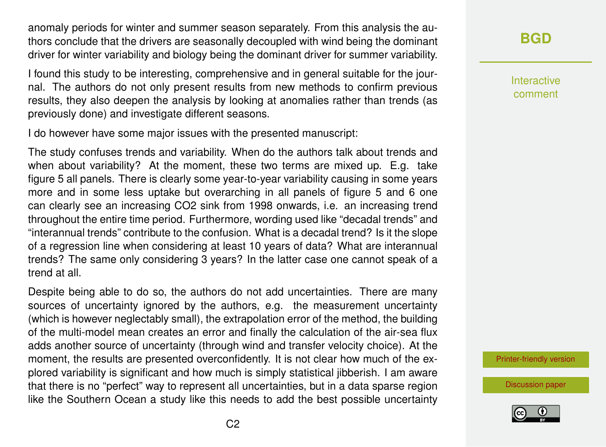anomaly periods for winter and summer season separately. From this analysis the authors conclude that the drivers are seasonally decoupled with wind being the dominant driver for winter variability and biology being the dominant driver for summer variability.

I found this study to be interesting, comprehensive and in general suitable for the journal. The authors do not only present results from new methods to confirm previous results, they also deepen the analysis by looking at anomalies rather than trends (as previously done) and investigate different seasons.

I do however have some major issues with the presented manuscript:

The study confuses trends and variability. When do the authors talk about trends and when about variability? At the moment, these two terms are mixed up. E.g. take figure 5 all panels. There is clearly some year-to-year variability causing in some years more and in some less uptake but overarching in all panels of figure 5 and 6 one can clearly see an increasing CO2 sink from 1998 onwards, i.e. an increasing trend throughout the entire time period. Furthermore, wording used like "decadal trends" and "interannual trends" contribute to the confusion. What is a decadal trend? Is it the slope of a regression line when considering at least 10 years of data? What are interannual trends? The same only considering 3 years? In the latter case one cannot speak of a trend at all.

Despite being able to do so, the authors do not add uncertainties. There are many sources of uncertainty ignored by the authors, e.g. the measurement uncertainty (which is however neglectably small), the extrapolation error of the method, the building of the multi-model mean creates an error and finally the calculation of the air-sea flux adds another source of uncertainty (through wind and transfer velocity choice). At the moment, the results are presented overconfidently. It is not clear how much of the explored variability is significant and how much is simply statistical jibberish. I am aware that there is no "perfect" way to represent all uncertainties, but in a data sparse region like the Southern Ocean a study like this needs to add the best possible uncertainty

## **[BGD](https://www.biogeosciences-discuss.net/)**

Interactive comment

[Printer-friendly version](https://www.biogeosciences-discuss.net/bg-2017-363/bg-2017-363-RC1-print.pdf)

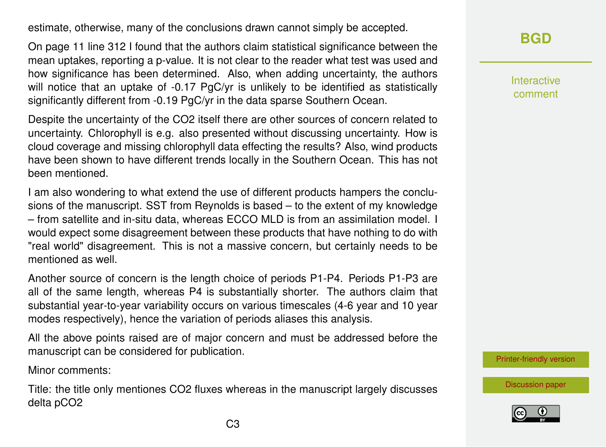estimate, otherwise, many of the conclusions drawn cannot simply be accepted.

On page 11 line 312 I found that the authors claim statistical significance between the mean uptakes, reporting a p-value. It is not clear to the reader what test was used and how significance has been determined. Also, when adding uncertainty, the authors will notice that an uptake of -0.17 PgC/yr is unlikely to be identified as statistically significantly different from -0.19 PgC/yr in the data sparse Southern Ocean.

Despite the uncertainty of the CO2 itself there are other sources of concern related to uncertainty. Chlorophyll is e.g. also presented without discussing uncertainty. How is cloud coverage and missing chlorophyll data effecting the results? Also, wind products have been shown to have different trends locally in the Southern Ocean. This has not been mentioned.

I am also wondering to what extend the use of different products hampers the conclusions of the manuscript. SST from Reynolds is based – to the extent of my knowledge – from satellite and in-situ data, whereas ECCO MLD is from an assimilation model. I would expect some disagreement between these products that have nothing to do with "real world" disagreement. This is not a massive concern, but certainly needs to be mentioned as well.

Another source of concern is the length choice of periods P1-P4. Periods P1-P3 are all of the same length, whereas P4 is substantially shorter. The authors claim that substantial year-to-year variability occurs on various timescales (4-6 year and 10 year modes respectively), hence the variation of periods aliases this analysis.

All the above points raised are of major concern and must be addressed before the manuscript can be considered for publication.

Minor comments:

Title: the title only mentiones CO2 fluxes whereas in the manuscript largely discusses delta pCO2

Interactive comment

[Printer-friendly version](https://www.biogeosciences-discuss.net/bg-2017-363/bg-2017-363-RC1-print.pdf)

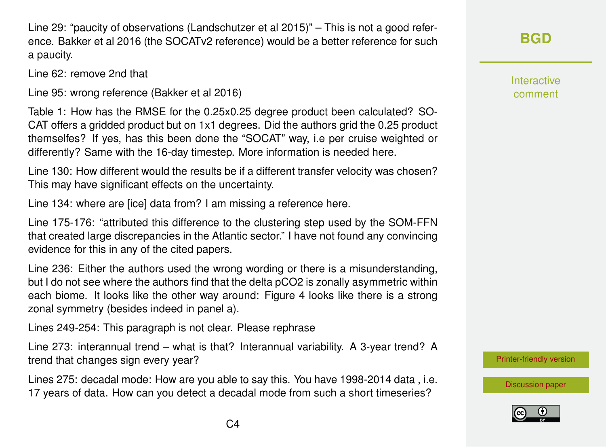Line 29: "paucity of observations (Landschutzer et al 2015)" – This is not a good reference. Bakker et al 2016 (the SOCATv2 reference) would be a better reference for such a paucity.

Line 62: remove 2nd that

Line 95: wrong reference (Bakker et al 2016)

Table 1: How has the RMSE for the 0.25x0.25 degree product been calculated? SO-CAT offers a gridded product but on 1x1 degrees. Did the authors grid the 0.25 product themselfes? If yes, has this been done the "SOCAT" way, i.e per cruise weighted or differently? Same with the 16-day timestep. More information is needed here.

Line 130: How different would the results be if a different transfer velocity was chosen? This may have significant effects on the uncertainty.

Line 134: where are [ice] data from? I am missing a reference here.

Line 175-176: "attributed this difference to the clustering step used by the SOM-FFN that created large discrepancies in the Atlantic sector." I have not found any convincing evidence for this in any of the cited papers.

Line 236: Either the authors used the wrong wording or there is a misunderstanding, but I do not see where the authors find that the delta pCO2 is zonally asymmetric within each biome. It looks like the other way around: Figure 4 looks like there is a strong zonal symmetry (besides indeed in panel a).

Lines 249-254: This paragraph is not clear. Please rephrase

Line 273: interannual trend – what is that? Interannual variability. A 3-year trend? A trend that changes sign every year?

Lines 275: decadal mode: How are you able to say this. You have 1998-2014 data , i.e. 17 years of data. How can you detect a decadal mode from such a short timeseries?

Interactive comment

[Printer-friendly version](https://www.biogeosciences-discuss.net/bg-2017-363/bg-2017-363-RC1-print.pdf)